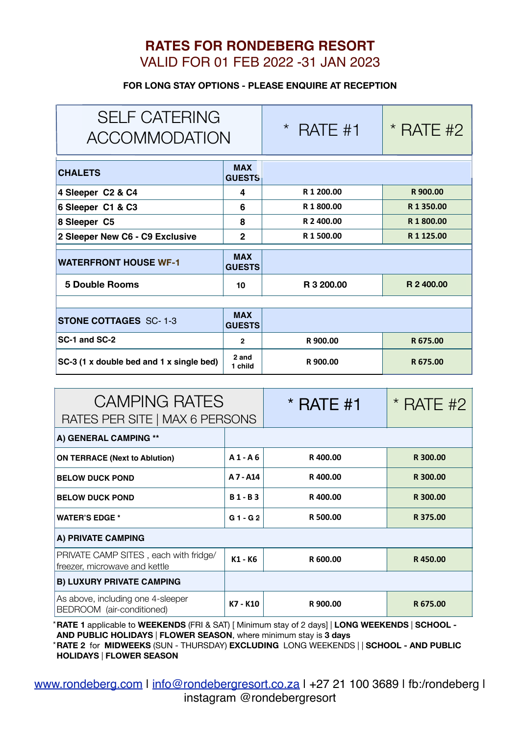## **RATES FOR RONDEBERG RESORT** VALID FOR 01 FEB 2022 -31 JAN 2023

## **FOR LONG STAY OPTIONS - PLEASE ENQUIRE AT RECEPTION**

| <b>SELF CATERING</b><br><b>ACCOMMODATION</b> |                             | $\star$<br>RATE #1 | $*$ RATE #2   |
|----------------------------------------------|-----------------------------|--------------------|---------------|
| <b>CHALETS</b>                               | <b>MAX</b><br><b>GUESTS</b> |                    |               |
| 4 Sleeper C2 & C4                            | 4                           | R 1 200.00         | R 900.00      |
| 6 Sleeper C1 & C3                            | 6                           | R 1800.00          | R1350.00      |
| 8 Sleeper C5                                 | 8                           | R 2 400.00         | R 1800.00     |
| 2 Sleeper New C6 - C9 Exclusive              | $\overline{2}$              | R 1 500.00         | R 1 1 2 5 .00 |
| <b>WATERFRONT HOUSE WF-1</b>                 | <b>MAX</b><br><b>GUESTS</b> |                    |               |
| <b>5 Double Rooms</b>                        | 10                          | R 3 200,00         | R 2 400.00    |
|                                              |                             |                    |               |
| <b>STONE COTTAGES SC-1-3</b>                 | <b>MAX</b><br><b>GUESTS</b> |                    |               |
| SC-1 and SC-2                                | $\overline{2}$              | R 900.00           | R 675.00      |
| SC-3 (1 x double bed and 1 x single bed)     | 2 and<br>1 child            | R 900.00           | R 675.00      |
|                                              |                             |                    |               |
| <b>CAMPING RATES</b>                         |                             | RATE #1            | $*$ RATE #2   |

| UAIVIPIINU KAI ES                                                      |              | $\check{ }$ RAIE #1 | * RAIE #2 |  |
|------------------------------------------------------------------------|--------------|---------------------|-----------|--|
| RATES PER SITE   MAX 6 PERSONS                                         |              |                     |           |  |
| A) GENERAL CAMPING **                                                  |              |                     |           |  |
| <b>ON TERRACE (Next to Ablution)</b>                                   | $A1 - A6$    | R400.00             | R 300.00  |  |
| <b>BELOW DUCK POND</b>                                                 | A 7 - A14    | R400.00             | R 300.00  |  |
| <b>BELOW DUCK POND</b>                                                 | <b>B1-B3</b> | R400.00             | R 300.00  |  |
| <b>WATER'S EDGE *</b>                                                  | $G1 - G2$    | R 500.00            | R 375.00  |  |
| A) PRIVATE CAMPING                                                     |              |                     |           |  |
| PRIVATE CAMP SITES, each with fridge/<br>freezer, microwave and kettle | K1 - K6      | R 600.00            | R450.00   |  |
| <b>B) LUXURY PRIVATE CAMPING</b>                                       |              |                     |           |  |
| As above, including one 4-sleeper<br>BEDROOM (air-conditioned)         | K7 - K10     | R 900.00            | R 675.00  |  |

\***RATE 1** applicable to **WEEKENDS** (FRI & SAT) [ Minimum stay of 2 days] | **LONG WEEKENDS** | **SCHOOL - AND PUBLIC HOLIDAYS** | **FLOWER SEASON**, where minimum stay is **3 days**  \***RATE 2** for **MIDWEEKS** (SUN - THURSDAY) **EXCLUDING** LONG WEEKENDS | | **SCHOOL - AND PUBLIC HOLIDAYS** | **FLOWER SEASON**

www.rondeberg.com | info@rondebergresort.co.za | +27 21 100 3689 | fb:/rondeberg | instagram @rondebergresort